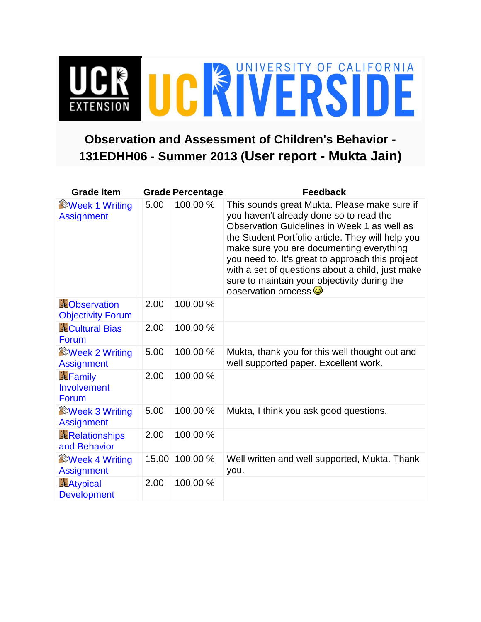## UCR UCR VERSITY OF CALIFORNIA

## **Observation and Assessment of Children's Behavior - 131EDHH06 - Summer 2013 (User report - Mukta Jain)**

| <b>Grade item</b>                               |       | <b>Grade Percentage</b> | <b>Feedback</b>                                                                                                                                                                                                                                                                                                                                                                                                                     |
|-------------------------------------------------|-------|-------------------------|-------------------------------------------------------------------------------------------------------------------------------------------------------------------------------------------------------------------------------------------------------------------------------------------------------------------------------------------------------------------------------------------------------------------------------------|
| <b>Week 1 Writing</b><br><b>Assignment</b>      | 5.00  | 100.00 %                | This sounds great Mukta. Please make sure if<br>you haven't already done so to read the<br>Observation Guidelines in Week 1 as well as<br>the Student Portfolio article. They will help you<br>make sure you are documenting everything<br>you need to. It's great to approach this project<br>with a set of questions about a child, just make<br>sure to maintain your objectivity during the<br>observation process <sup>1</sup> |
| <b>EObservation</b><br><b>Objectivity Forum</b> | 2.00  | 100.00 %                |                                                                                                                                                                                                                                                                                                                                                                                                                                     |
| <b>Cultural Bias</b><br>Forum                   | 2.00  | 100.00 %                |                                                                                                                                                                                                                                                                                                                                                                                                                                     |
| <b>Week 2 Writing</b><br><b>Assignment</b>      | 5.00  | 100.00 %                | Mukta, thank you for this well thought out and<br>well supported paper. Excellent work.                                                                                                                                                                                                                                                                                                                                             |
| <b>N</b> Family<br>Involvement<br>Forum         | 2.00  | 100.00 %                |                                                                                                                                                                                                                                                                                                                                                                                                                                     |
| <b>Week 3 Writing</b><br><b>Assignment</b>      | 5.00  | 100.00 %                | Mukta, I think you ask good questions.                                                                                                                                                                                                                                                                                                                                                                                              |
| <b>KRelationships</b><br>and Behavior           | 2.00  | 100.00 %                |                                                                                                                                                                                                                                                                                                                                                                                                                                     |
| <b>Week 4 Writing</b><br><b>Assignment</b>      | 15.00 | 100.00 %                | Well written and well supported, Mukta. Thank<br>you.                                                                                                                                                                                                                                                                                                                                                                               |
| <b>JLAtypical</b><br><b>Development</b>         | 2.00  | 100.00 %                |                                                                                                                                                                                                                                                                                                                                                                                                                                     |